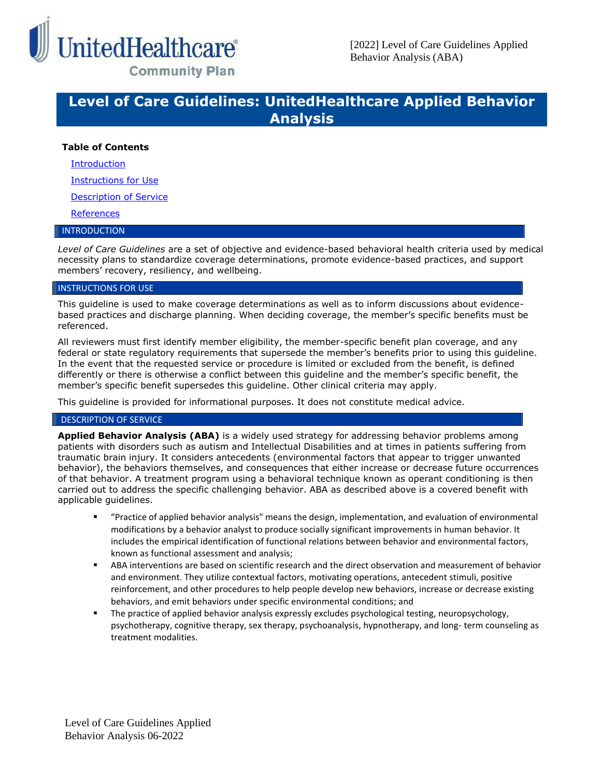

## **Level of Care Guidelines: UnitedHealthcare Applied Behavior Analysis**

## **Table of Contents**

[Introduction](#page-0-0)

[Instructions for Use](#page-0-1)

[Description of Service](#page-0-2)

**[References](#page-6-0)** 

### <span id="page-0-0"></span>INTRODUCTION

*Level of Care Guidelines* are a set of objective and evidence-based behavioral health criteria used by medical necessity plans to standardize coverage determinations, promote evidence-based practices, and support members' recovery, resiliency, and wellbeing.

#### <span id="page-0-1"></span>INSTRUCTIONS FOR USE

This guideline is used to make coverage determinations as well as to inform discussions about evidencebased practices and discharge planning. When deciding coverage, the member's specific benefits must be referenced.

All reviewers must first identify member eligibility, the member-specific benefit plan coverage, and any federal or state regulatory requirements that supersede the member's benefits prior to using this guideline. In the event that the requested service or procedure is limited or excluded from the benefit, is defined differently or there is otherwise a conflict between this guideline and the member's specific benefit, the member's specific benefit supersedes this guideline. Other clinical criteria may apply.

This guideline is provided for informational purposes. It does not constitute medical advice.

#### <span id="page-0-2"></span>DESCRIPTION OF SERVICE

**Applied Behavior Analysis (ABA)** is a widely used strategy for addressing behavior problems among patients with disorders such as autism and Intellectual Disabilities and at times in patients suffering from traumatic brain injury. It considers antecedents (environmental factors that appear to trigger unwanted behavior), the behaviors themselves, and consequences that either increase or decrease future occurrences of that behavior. A treatment program using a behavioral technique known as operant conditioning is then carried out to address the specific challenging behavior. ABA as described above is a covered benefit with applicable guidelines.

- "Practice of applied behavior analysis" means the design, implementation, and evaluation of environmental modifications by a behavior analyst to produce socially significant improvements in human behavior. It includes the empirical identification of functional relations between behavior and environmental factors, known as functional assessment and analysis;
- ABA interventions are based on scientific research and the direct observation and measurement of behavior and environment. They utilize contextual factors, motivating operations, antecedent stimuli, positive reinforcement, and other procedures to help people develop new behaviors, increase or decrease existing behaviors, and emit behaviors under specific environmental conditions; and
- The practice of applied behavior analysis expressly excludes psychological testing, neuropsychology, psychotherapy, cognitive therapy, sex therapy, psychoanalysis, hypnotherapy, and long- term counseling as treatment modalities.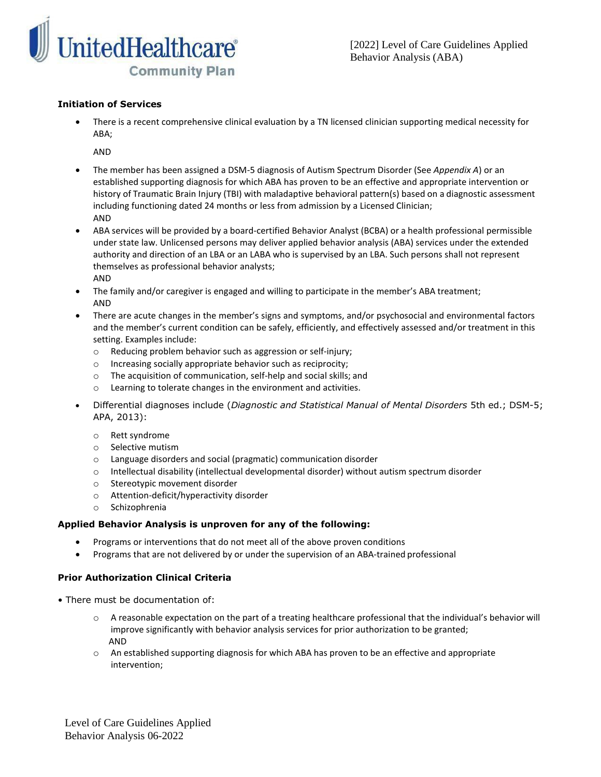

## **Initiation of Services**

• There is a recent comprehensive clinical evaluation by a TN licensed clinician supporting medical necessity for ABA;

AND

- The member has been assigned a DSM-5 diagnosis of Autism Spectrum Disorder (See *Appendix A*) or an established supporting diagnosis for which ABA has proven to be an effective and appropriate intervention or history of Traumatic Brain Injury (TBI) with maladaptive behavioral pattern(s) based on a diagnostic assessment including functioning dated 24 months or less from admission by a Licensed Clinician; AND
- ABA services will be provided by a board-certified Behavior Analyst (BCBA) or a health professional permissible under state law. Unlicensed persons may deliver applied behavior analysis (ABA) services under the extended authority and direction of an LBA or an LABA who is supervised by an LBA. Such persons shall not represent themselves as professional behavior analysts; AND
- The family and/or caregiver is engaged and willing to participate in the member's ABA treatment; AND
- There are acute changes in the member's signs and symptoms, and/or psychosocial and environmental factors and the member's current condition can be safely, efficiently, and effectively assessed and/or treatment in this setting. Examples include:
	- o Reducing problem behavior such as aggression or self-injury;
	- o Increasing socially appropriate behavior such as reciprocity;
	- o The acquisition of communication, self-help and social skills; and
	- o Learning to tolerate changes in the environment and activities.
- Differential diagnoses include (*Diagnostic and Statistical Manual of Mental Disorders* 5th ed.; DSM-5; APA, 2013):
	- o Rett syndrome
	- o Selective mutism
	- o Language disorders and social (pragmatic) communication disorder
	- o Intellectual disability (intellectual developmental disorder) without autism spectrum disorder
	- o Stereotypic movement disorder
	- o Attention-deficit/hyperactivity disorder
	- o Schizophrenia

## **Applied Behavior Analysis is unproven for any of the following:**

- Programs or interventions that do not meet all of the above proven conditions
- Programs that are not delivered by or under the supervision of an ABA-trained professional

## **Prior Authorization Clinical Criteria**

- There must be documentation of:
	- o A reasonable expectation on the part of a treating healthcare professional that the individual's behavior will improve significantly with behavior analysis services for prior authorization to be granted; AND
	- o An established supporting diagnosis for which ABA has proven to be an effective and appropriate intervention;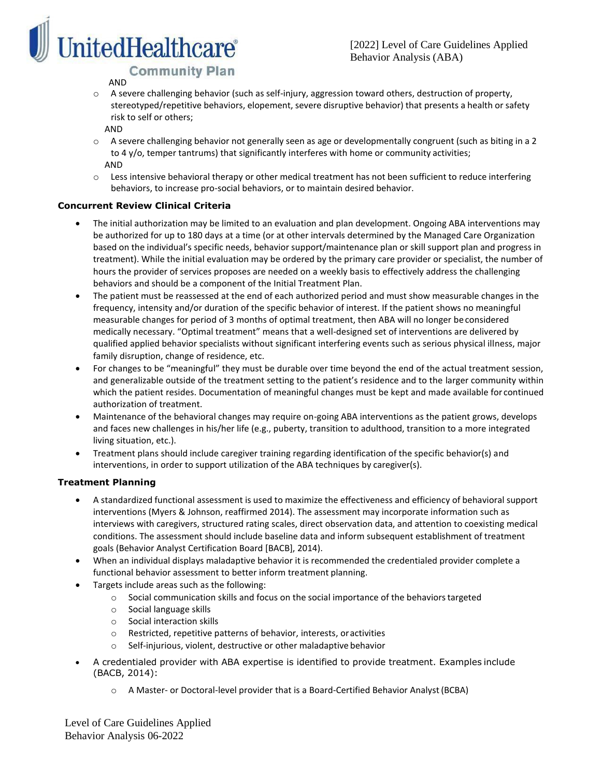

## AND

- o A severe challenging behavior (such as self-injury, aggression toward others, destruction of property, stereotyped/repetitive behaviors, elopement, severe disruptive behavior) that presents a health or safety risk to self or others;
	- AND
- o A severe challenging behavior not generally seen as age or developmentally congruent (such as biting in a 2 to 4 y/o, temper tantrums) that significantly interferes with home or community activities; AND
- o Less intensive behavioral therapy or other medical treatment has not been sufficient to reduce interfering behaviors, to increase pro-social behaviors, or to maintain desired behavior.

## **Concurrent Review Clinical Criteria**

- The initial authorization may be limited to an evaluation and plan development. Ongoing ABA interventions may be authorized for up to 180 days at a time (or at other intervals determined by the Managed Care Organization based on the individual's specific needs, behavior support/maintenance plan or skill support plan and progress in treatment). While the initial evaluation may be ordered by the primary care provider or specialist, the number of hours the provider of services proposes are needed on a weekly basis to effectively address the challenging behaviors and should be a component of the Initial Treatment Plan.
- The patient must be reassessed at the end of each authorized period and must show measurable changes in the frequency, intensity and/or duration of the specific behavior of interest. If the patient shows no meaningful measurable changes for period of 3 months of optimal treatment, then ABA will no longer be considered medically necessary. "Optimal treatment" means that a well-designed set of interventions are delivered by qualified applied behavior specialists without significant interfering events such as serious physical illness, major family disruption, change of residence, etc.
- For changes to be "meaningful" they must be durable over time beyond the end of the actual treatment session, and generalizable outside of the treatment setting to the patient's residence and to the larger community within which the patient resides. Documentation of meaningful changes must be kept and made available for continued authorization of treatment.
- Maintenance of the behavioral changes may require on-going ABA interventions as the patient grows, develops and faces new challenges in his/her life (e.g., puberty, transition to adulthood, transition to a more integrated living situation, etc.).
- Treatment plans should include caregiver training regarding identification of the specific behavior(s) and interventions, in order to support utilization of the ABA techniques by caregiver(s).

## **Treatment Planning**

- A standardized functional assessment is used to maximize the effectiveness and efficiency of behavioral support interventions (Myers & Johnson, reaffirmed 2014). The assessment may incorporate information such as interviews with caregivers, structured rating scales, direct observation data, and attention to coexisting medical conditions. The assessment should include baseline data and inform subsequent establishment of treatment goals (Behavior Analyst Certification Board [BACB], 2014).
- When an individual displays maladaptive behavior it is recommended the credentialed provider complete a functional behavior assessment to better inform treatment planning.
- Targets include areas such as the following:
	- o Social communication skills and focus on the social importance of the behaviorstargeted
	- o Social language skills
	- o Social interaction skills
	- o Restricted, repetitive patterns of behavior, interests, oractivities
	- o Self-injurious, violent, destructive or other maladaptive behavior
- A credentialed provider with ABA expertise is identified to provide treatment. Examples include (BACB, 2014):
	- o A Master- or Doctoral-level provider that is a Board-Certified Behavior Analyst (BCBA)

Level of Care Guidelines Applied Behavior Analysis 06-2022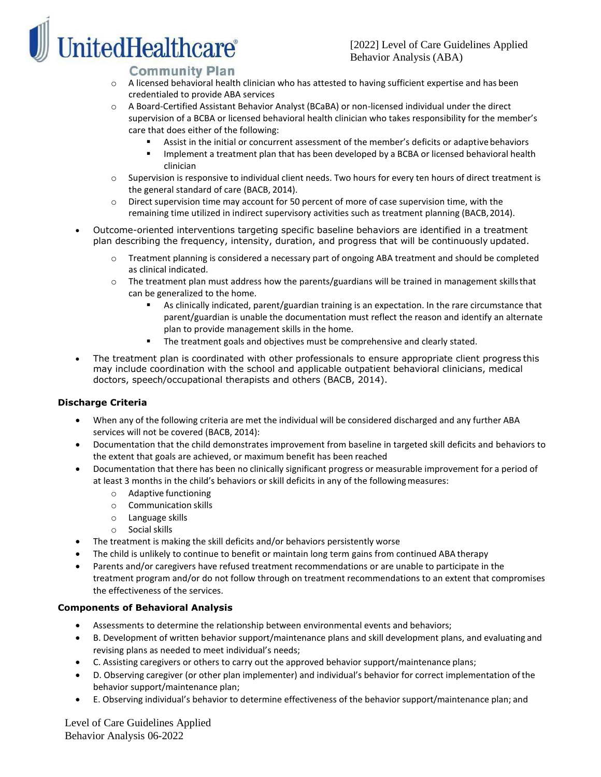# **nitedHealthcare**®

## **Community Plan**

- $\circ$  A licensed behavioral health clinician who has attested to having sufficient expertise and has been credentialed to provide ABA services
- o A Board-Certified Assistant Behavior Analyst (BCaBA) or non-licensed individual under the direct supervision of a BCBA or licensed behavioral health clinician who takes responsibility for the member's care that does either of the following:
	- Assist in the initial or concurrent assessment of the member's deficits or adaptive behaviors
	- Implement a treatment plan that has been developed by a BCBA or licensed behavioral health clinician
- o Supervision is responsive to individual client needs. Two hours for every ten hours of direct treatment is the general standard of care (BACB, 2014).
- $\circ$  Direct supervision time may account for 50 percent of more of case supervision time, with the remaining time utilized in indirect supervisory activities such as treatment planning (BACB, 2014).
- Outcome-oriented interventions targeting specific baseline behaviors are identified in a treatment plan describing the frequency, intensity, duration, and progress that will be continuously updated.
	- Treatment planning is considered a necessary part of ongoing ABA treatment and should be completed as clinical indicated.
	- $\circ$  The treatment plan must address how the parents/guardians will be trained in management skills that can be generalized to the home.
		- As clinically indicated, parent/guardian training is an expectation. In the rare circumstance that parent/guardian is unable the documentation must reflect the reason and identify an alternate plan to provide management skills in the home.
		- The treatment goals and objectives must be comprehensive and clearly stated.
- The treatment plan is coordinated with other professionals to ensure appropriate client progress this may include coordination with the school and applicable outpatient behavioral clinicians, medical doctors, speech/occupational therapists and others (BACB, 2014).

## **Discharge Criteria**

- When any of the following criteria are met the individual will be considered discharged and any further ABA services will not be covered (BACB, 2014):
- Documentation that the child demonstrates improvement from baseline in targeted skill deficits and behaviors to the extent that goals are achieved, or maximum benefit has been reached
- Documentation that there has been no clinically significant progress or measurable improvement for a period of at least 3 months in the child's behaviors or skill deficits in any of the followingmeasures:
	- o Adaptive functioning
	- o Communication skills
	- o Language skills
	- o Social skills
- The treatment is making the skill deficits and/or behaviors persistently worse
- The child is unlikely to continue to benefit or maintain long term gains from continued ABA therapy
- Parents and/or caregivers have refused treatment recommendations or are unable to participate in the treatment program and/or do not follow through on treatment recommendations to an extent that compromises the effectiveness of the services.

## **Components of Behavioral Analysis**

- Assessments to determine the relationship between environmental events and behaviors;
- B. Development of written behavior support/maintenance plans and skill development plans, and evaluating and revising plans as needed to meet individual's needs;
- C. Assisting caregivers or others to carry out the approved behavior support/maintenance plans;
- D. Observing caregiver (or other plan implementer) and individual's behavior for correct implementation ofthe behavior support/maintenance plan;
- E. Observing individual's behavior to determine effectiveness of the behavior support/maintenance plan; and

Level of Care Guidelines Applied Behavior Analysis 06-2022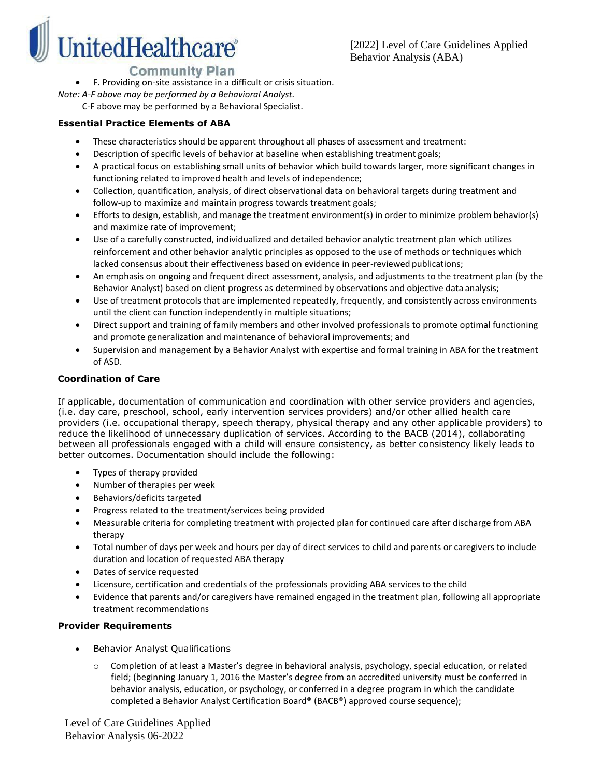

• F. Providing on-site assistance in a difficult or crisis situation.

*Note: A-F above may be performed by a Behavioral Analyst.*

C-F above may be performed by a Behavioral Specialist.

## **Essential Practice Elements of ABA**

- These characteristics should be apparent throughout all phases of assessment and treatment:
- Description of specific levels of behavior at baseline when establishing treatment goals;
- A practical focus on establishing small units of behavior which build towards larger, more significant changes in functioning related to improved health and levels of independence;
- Collection, quantification, analysis, of direct observational data on behavioral targets during treatment and follow-up to maximize and maintain progress towards treatment goals;
- Efforts to design, establish, and manage the treatment environment(s) in order to minimize problem behavior(s) and maximize rate of improvement;
- Use of a carefully constructed, individualized and detailed behavior analytic treatment plan which utilizes reinforcement and other behavior analytic principles as opposed to the use of methods or techniques which lacked consensus about their effectiveness based on evidence in peer-reviewed publications;
- An emphasis on ongoing and frequent direct assessment, analysis, and adjustments to the treatment plan (by the Behavior Analyst) based on client progress as determined by observations and objective data analysis;
- Use of treatment protocols that are implemented repeatedly, frequently, and consistently across environments until the client can function independently in multiple situations;
- Direct support and training of family members and other involved professionals to promote optimal functioning and promote generalization and maintenance of behavioral improvements; and
- Supervision and management by a Behavior Analyst with expertise and formal training in ABA for the treatment of ASD.

## **Coordination of Care**

If applicable, documentation of communication and coordination with other service providers and agencies, (i.e. day care, preschool, school, early intervention services providers) and/or other allied health care providers (i.e. occupational therapy, speech therapy, physical therapy and any other applicable providers) to reduce the likelihood of unnecessary duplication of services. According to the BACB (2014), collaborating between all professionals engaged with a child will ensure consistency, as better consistency likely leads to better outcomes. Documentation should include the following:

- Types of therapy provided
- Number of therapies per week
- Behaviors/deficits targeted
- Progress related to the treatment/services being provided
- Measurable criteria for completing treatment with projected plan for continued care after discharge from ABA therapy
- Total number of days per week and hours per day of direct services to child and parents or caregivers to include duration and location of requested ABA therapy
- Dates of service requested
- Licensure, certification and credentials of the professionals providing ABA services to the child
- Evidence that parents and/or caregivers have remained engaged in the treatment plan, following all appropriate treatment recommendations

## **Provider Requirements**

- Behavior Analyst Qualifications
	- $\circ$  Completion of at least a Master's degree in behavioral analysis, psychology, special education, or related field; (beginning January 1, 2016 the Master's degree from an accredited university must be conferred in behavior analysis, education, or psychology, or conferred in a degree program in which the candidate completed a Behavior Analyst Certification Board® (BACB®) approved course sequence);

Level of Care Guidelines Applied Behavior Analysis 06-2022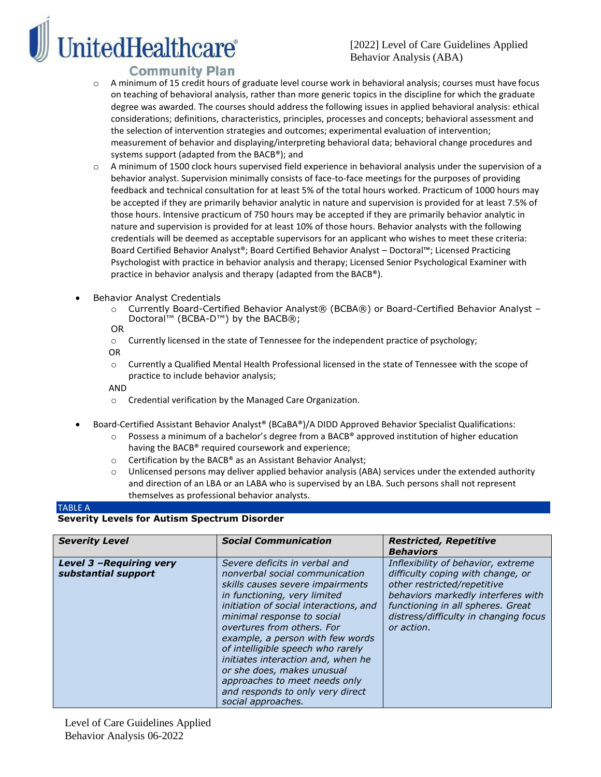**nitedHealthcare**®

- o A minimum of 15 credit hours of graduate level course work in behavioral analysis; courses must have focus on teaching of behavioral analysis, rather than more generic topics in the discipline for which the graduate degree was awarded. The courses should address the following issues in applied behavioral analysis: ethical considerations; definitions, characteristics, principles, processes and concepts; behavioral assessment and the selection of intervention strategies and outcomes; experimental evaluation of intervention; measurement of behavior and displaying/interpreting behavioral data; behavioral change procedures and systems support (adapted from the BACB®); and
- o A minimum of 1500 clock hours supervised field experience in behavioral analysis under the supervision of a behavior analyst. Supervision minimally consists of face-to-face meetings for the purposes of providing feedback and technical consultation for at least 5% of the total hours worked. Practicum of 1000 hours may be accepted if they are primarily behavior analytic in nature and supervision is provided for at least 7.5% of those hours. Intensive practicum of 750 hours may be accepted if they are primarily behavior analytic in nature and supervision is provided for at least 10% of those hours. Behavior analysts with the following credentials will be deemed as acceptable supervisors for an applicant who wishes to meet these criteria: Board Certified Behavior Analyst®; Board Certified Behavior Analyst – Doctoral™; Licensed Practicing Psychologist with practice in behavior analysis and therapy; Licensed Senior Psychological Examiner with practice in behavior analysis and therapy (adapted from the BACB®).
- Behavior Analyst Credentials
	- o Currently Board-Certified Behavior Analyst® (BCBA®) or Board-Certified Behavior Analyst Doctoral™ (BCBA-D™) by the BACB®;
	- OR
	- o Currently licensed in the state of Tennessee for the independent practice of psychology;
	- OR
	- o Currently a Qualified Mental Health Professional licensed in the state of Tennessee with the scope of practice to include behavior analysis;

AND

- o Credential verification by the Managed Care Organization.
- Board-Certified Assistant Behavior Analyst® (BCaBA®)/A DIDD Approved Behavior Specialist Qualifications:
	- o Possess a minimum of a bachelor's degree from a BACB® approved institution of higher education having the BACB® required coursework and experience;
	- o Certification by the BACB® as an Assistant Behavior Analyst;
	- o Unlicensed persons may deliver applied behavior analysis (ABA) services under the extended authority and direction of an LBA or an LABA who is supervised by an LBA. Such persons shall not represent themselves as professional behavior analysts.

## TABLE A

#### **Severity Levels for Autism Spectrum Disorder**

| <b>Severity Level</b>                           | <b>Social Communication</b>                                                                                                                                                                                                                                                                                                                                                                                                                                                       | <b>Restricted, Repetitive</b><br><b>Behaviors</b>                                                                                                                                                                                        |
|-------------------------------------------------|-----------------------------------------------------------------------------------------------------------------------------------------------------------------------------------------------------------------------------------------------------------------------------------------------------------------------------------------------------------------------------------------------------------------------------------------------------------------------------------|------------------------------------------------------------------------------------------------------------------------------------------------------------------------------------------------------------------------------------------|
| Level 3 - Requiring very<br>substantial support | Severe deficits in verbal and<br>nonverbal social communication<br>skills causes severe impairments<br>in functioning, very limited<br>initiation of social interactions, and<br>minimal response to social<br>overtures from others. For<br>example, a person with few words<br>of intelligible speech who rarely<br>initiates interaction and, when he<br>or she does, makes unusual<br>approaches to meet needs only<br>and responds to only very direct<br>social approaches. | Inflexibility of behavior, extreme<br>difficulty coping with change, or<br>other restricted/repetitive<br>behaviors markedly interferes with<br>functioning in all spheres. Great<br>distress/difficulty in changing focus<br>or action. |